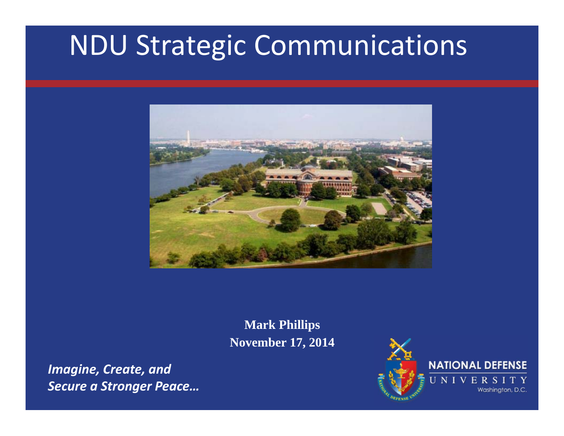# NDU Strategic Communications



**Mark Phillips November 17, 2014**

*Imagine, Create, and Secure a Stronger Peace…*

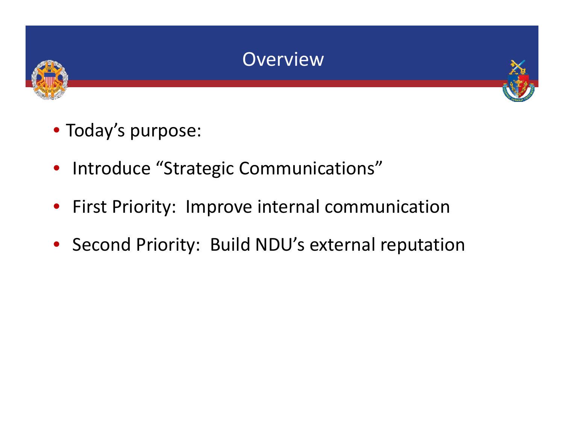



- Today's purpose:
- Introduce "Strategic Communications"
- First Priority: Improve internal communication
- Second Priority: Build NDU's external reputation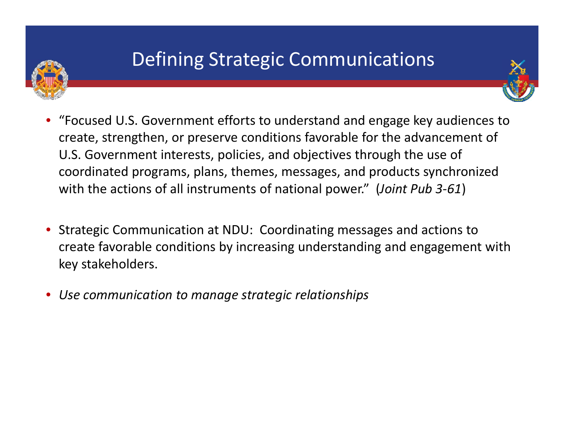

### Defining Strategic Communications

- • "Focused U.S. Government efforts to understand and engage key audiences to create, strengthen, or preserve conditions favorable for the advancement of U.S. Government interests, policies, and objectives through the use of coordinated programs, plans, themes, messages, and products synchronized with the actions of all instruments of national power." (*Joint Pub 3‐61*)
- • Strategic Communication at NDU: Coordinating messages and actions to create favorable conditions by increasing understanding and engagement with key stakeholders.
- •*Use communication to manage strategic relationships*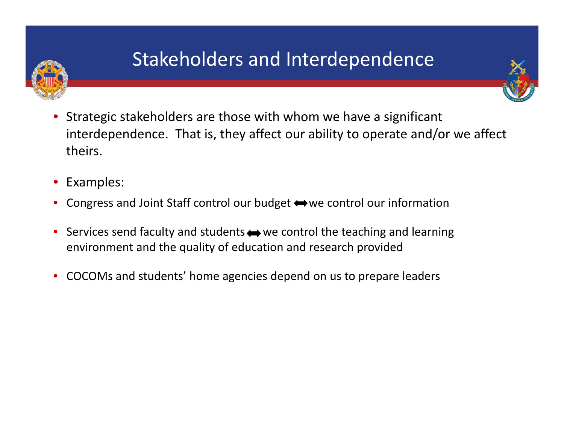

### Stakeholders and Interdependence



- •Examples:
- •Congress and Joint Staff control our budget  $\leftrightarrow$  we control our information
- $\bullet$ Services send faculty and students  $\leftrightarrow$  we control the teaching and learning environment and the quality of education and research provided
- •COCOMs and students' home agencies depend on us to prepare leaders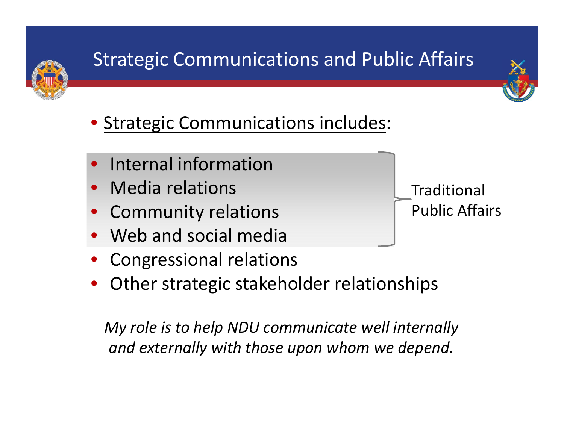

# Strategic Communications and Public Affairs



- **Strategic Communications includes:**
- $\bullet$ Internal information
- $\bullet$ • Media relations
- $\bullet$ Community relations
- $\bullet$ Web and social media
- $\bullet$ Congressional relations
- $\bullet$ Other strategic stakeholder relationships

*My role is to help NDU communicate well internally and externally with those upon whom we depend.*

Traditional Public Affairs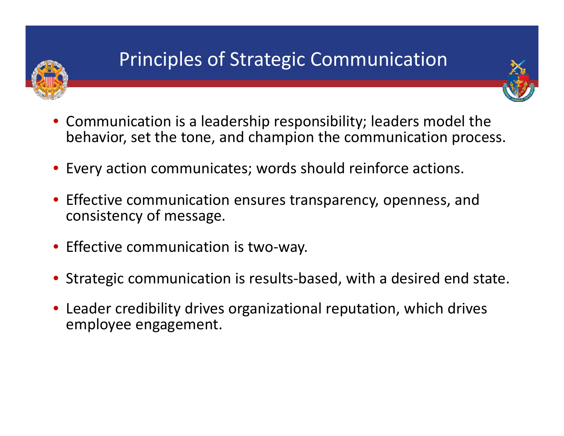

## Principles of Strategic Communication



- Communication is <sup>a</sup> leadership responsibility; leaders model the behavior, set the tone, and champion the communication process.
- Every action communicates; words should reinforce actions.
- Effective communication ensures transparency, openness, and consistency of message.
- Effective communication is two‐way.
- Strategic communication is results‐based, with <sup>a</sup> desired end state.
- Leader credibility drives organizational reputation, which drives employee engagement.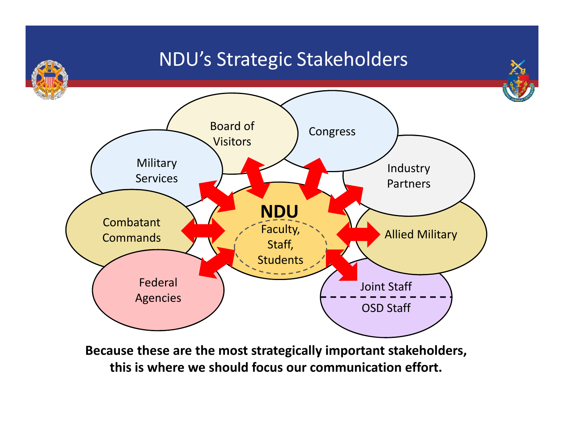

**this is where we should focus our communication effort.**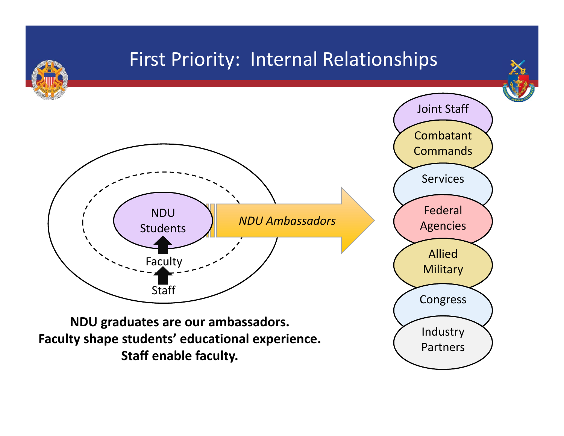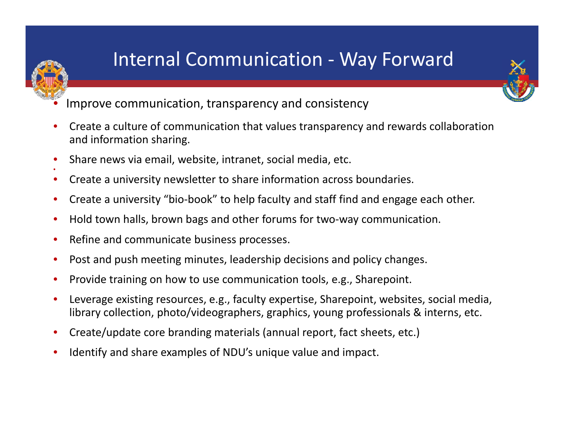### Internal Communication ‐ Way Forward



- •Improve communication, transparency and consistency
- • Create <sup>a</sup> culture of communication that values transparency and rewards collaboration and information sharing.
- •Share news via email, website, intranet, social media, etc.
- $\bullet$ Create <sup>a</sup> university newsletter to share information across boundaries.
- •● Create a university "bio-book" to help faculty and staff find and engage each other.
- $\bullet$ ● Hold town halls, brown bags and other forums for two-way communication.
- •• Refine and communicate business processes.

•

- $\bullet$ • Post and push meeting minutes, leadership decisions and policy changes.
- •• Provide training on how to use communication tools, e.g., Sharepoint.
- • Leverage existing resources, e.g., faculty expertise, Sharepoint, websites, social media, library collection, photo/videographers, graphics, young professionals & interns, etc.
- •Create/update core branding materials (annual report, fact sheets, etc.)
- •Identify and share examples of NDU's unique value and impact.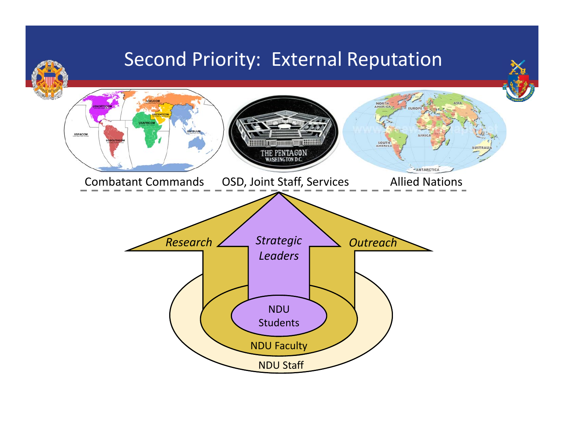